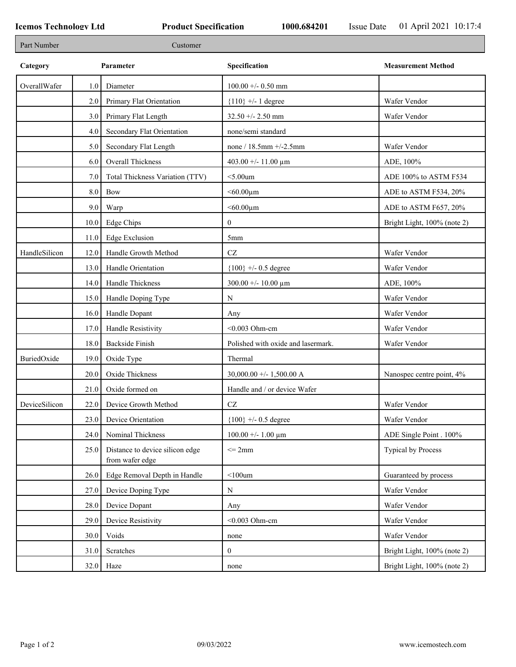| Part Number   |      | Customer                                           |                                    |                             |
|---------------|------|----------------------------------------------------|------------------------------------|-----------------------------|
| Category      |      | Parameter                                          | Specification                      | <b>Measurement Method</b>   |
| OverallWafer  | 1.0  | Diameter                                           | $100.00 + - 0.50$ mm               |                             |
|               | 2.0  | Primary Flat Orientation                           | ${110}$ +/- 1 degree               | Wafer Vendor                |
|               | 3.0  | Primary Flat Length                                | $32.50 + - 2.50$ mm                | Wafer Vendor                |
|               | 4.0  | Secondary Flat Orientation                         | none/semi standard                 |                             |
|               | 5.0  | Secondary Flat Length                              | none / 18.5mm +/-2.5mm             | Wafer Vendor                |
|               | 6.0  | Overall Thickness                                  | 403.00 +/- 11.00 $\mu$ m           | ADE, 100%                   |
|               | 7.0  | Total Thickness Variation (TTV)                    | $<$ 5.00 $um$                      | ADE 100% to ASTM F534       |
|               | 8.0  | Bow                                                | $< 60.00 \mu m$                    | ADE to ASTM F534, 20%       |
|               | 9.0  | Warp                                               | $<$ 60.00 $\mu$ m                  | ADE to ASTM F657, 20%       |
|               | 10.0 | <b>Edge Chips</b>                                  | $\boldsymbol{0}$                   | Bright Light, 100% (note 2) |
|               | 11.0 | Edge Exclusion                                     | 5mm                                |                             |
| HandleSilicon | 12.0 | Handle Growth Method                               | $\operatorname{CZ}$                | Wafer Vendor                |
|               | 13.0 | Handle Orientation                                 | ${100}$ +/- 0.5 degree             | Wafer Vendor                |
|               | 14.0 | Handle Thickness                                   | 300.00 +/- 10.00 $\mu$ m           | ADE, 100%                   |
|               | 15.0 | Handle Doping Type                                 | $\mathbf N$                        | Wafer Vendor                |
|               | 16.0 | Handle Dopant                                      | Any                                | Wafer Vendor                |
|               | 17.0 | Handle Resistivity                                 | $<$ 0.003 Ohm-cm                   | Wafer Vendor                |
|               | 18.0 | <b>Backside Finish</b>                             | Polished with oxide and lasermark. | Wafer Vendor                |
| BuriedOxide   | 19.0 | Oxide Type                                         | Thermal                            |                             |
|               | 20.0 | Oxide Thickness                                    | 30,000.00 +/- 1,500.00 A           | Nanospec centre point, 4%   |
|               | 21.0 | Oxide formed on                                    | Handle and / or device Wafer       |                             |
| DeviceSilicon | 22.0 | Device Growth Method                               | CZ                                 | Wafer Vendor                |
|               | 23.0 | Device Orientation                                 | ${100}$ +/- 0.5 degree             | Wafer Vendor                |
|               | 24.0 | Nominal Thickness                                  | $100.00 + - 1.00 \mu m$            | ADE Single Point . 100%     |
|               | 25.0 | Distance to device silicon edge<br>from wafer edge | $\leq$ 2mm                         | Typical by Process          |
|               | 26.0 | Edge Removal Depth in Handle                       | $<$ 100 $um$                       | Guaranteed by process       |
|               | 27.0 | Device Doping Type                                 | N                                  | Wafer Vendor                |
|               | 28.0 | Device Dopant                                      | Any                                | Wafer Vendor                |
|               | 29.0 | Device Resistivity                                 | $<$ 0.003 Ohm-cm                   | Wafer Vendor                |
|               | 30.0 | Voids                                              | none                               | Wafer Vendor                |
|               | 31.0 | Scratches                                          | $\boldsymbol{0}$                   | Bright Light, 100% (note 2) |
|               | 32.0 | Haze                                               | none                               | Bright Light, 100% (note 2) |